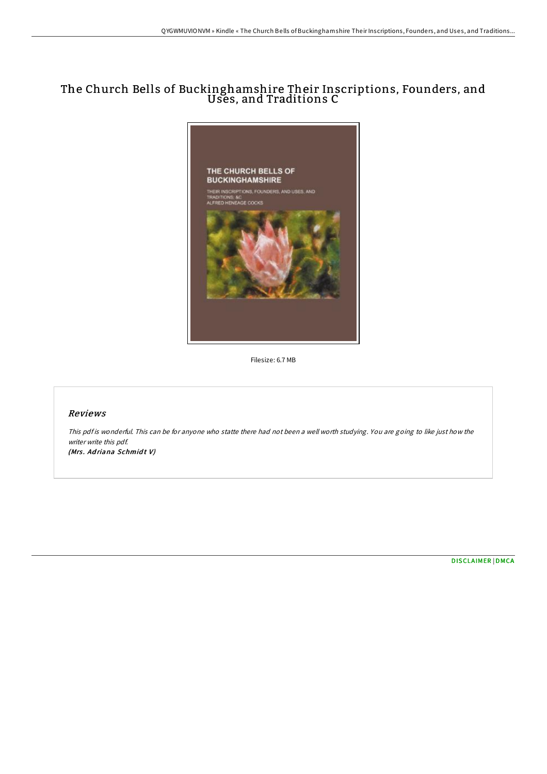## The Church Bells of Buckinghamshire Their Inscriptions, Founders, and Uses, and Traditions C



Filesize: 6.7 MB

## Reviews

This pdf is wonderful. This can be for anyone who statte there had not been a well worth studying. You are going to like just how the writer write this pdf. (Mrs. Adriana Schmidt V)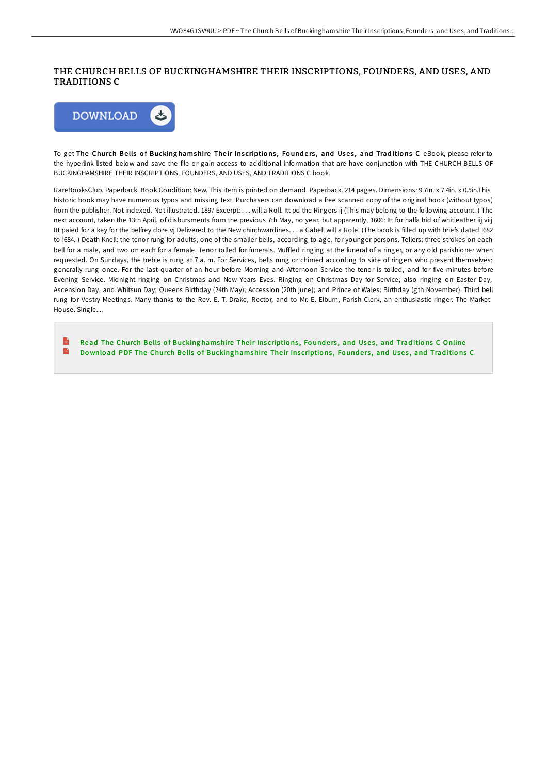## THE CHURCH BELLS OF BUCKINGHAMSHIRE THEIR INSCRIPTIONS, FOUNDERS, AND USES, AND TRADITIONS C



To get The Church Bells of Bucking hamshire Their Inscriptions, Founders, and Uses, and Traditions C eBook, please refer to the hyperlink listed below and save the file or gain access to additional information that are have conjunction with THE CHURCH BELLS OF BUCKINGHAMSHIRE THEIR INSCRIPTIONS, FOUNDERS, AND USES, AND TRADITIONS C book.

RareBooksClub. Paperback. Book Condition: New. This item is printed on demand. Paperback. 214 pages. Dimensions: 9.7in. x 7.4in. x 0.5in.This historic book may have numerous typos and missing text. Purchasers can download a free scanned copy of the original book (without typos) from the publisher. Not indexed. Not illustrated. 1897 Excerpt: . . . will a Roll. Itt pd the Ringers ij (This may belong to the following account. ) The next account, taken the 13th April, of disbursments from the previous 7th May, no year, but apparently, 1606: Itt for halfa hid of whitleather iij viij Itt paied for a key for the belfrey dore vj Delivered to the New chirchwardines. . . a Gabell will a Role. (The book is filled up with briefs dated I682 to I684. ) Death Knell: the tenor rung for adults; one of the smaller bells, according to age, for younger persons. Tellers: three strokes on each bell for a male, and two on each for a female. Tenor tolled for funerals. Muffled ringing at the funeral of a ringer, or any old parishioner when requested. On Sundays, the treble is rung at 7 a. m. For Services, bells rung or chimed according to side of ringers who present themselves; generally rung once. For the last quarter of an hour before Morning and AIernoon Service the tenor is tolled, and for five minutes before Evening Service. Midnight ringing on Christmas and New Years Eves. Ringing on Christmas Day for Service; also ringing on Easter Day, Ascension Day, and Whitsun Day; Queens Birthday (24th May); Accession (20th june); and Prince of Wales: Birthday (gth November). Third bell rung for Vestry Meetings. Many thanks to the Rev. E. T. Drake, Rector, and to Mr. E. Elburn, Parish Clerk, an enthusiastic ringer. The Market House. Single....

 $\mathbf{r}$ Read The Church Bells of Bucking [hamshire](http://almighty24.tech/the-church-bells-of-buckinghamshire-their-inscri.html) Their Inscriptions, Founders, and Uses, and Traditions C Online B Download PDF The Church Bells of Bucking [hamshire](http://almighty24.tech/the-church-bells-of-buckinghamshire-their-inscri.html) Their Inscriptions, Founders, and Uses, and Traditions C